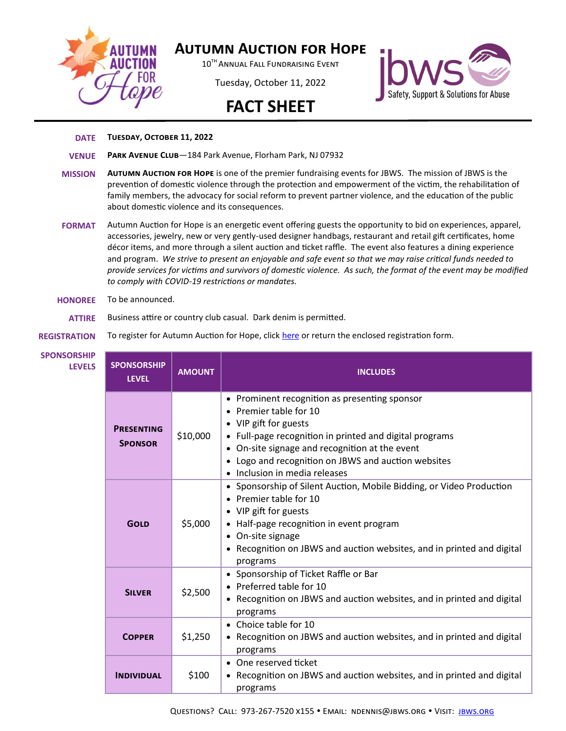

## **Autumn Auction for Hope**

10<sup>TH</sup> ANNUAL FALL FUNDRAISING EVENT

Tuesday, October 11, 2022





## **DATE Tuesday, October 11, 2022**

- **VENUE Park Avenue Club**—184 Park Avenue, Florham Park, NJ 07932
- **MISSION Autumn Auction for Hope** is one of the premier fundraising events for JBWS. The mission of JBWS is the prevention of domestic violence through the protection and empowerment of the victim, the rehabilitation of family members, the advocacy for social reform to prevent partner violence, and the education of the public about domestic violence and its consequences.
- **FORMAT** Autumn Auction for Hope is an energetic event offering guests the opportunity to bid on experiences, apparel, accessories, jewelry, new or very gently-used designer handbags, restaurant and retail gift certificates, home décor items, and more through a silent auction and ticket raffle. The event also features a dining experience and program. *We strive to present an enjoyable and safe event so that we may raise critical funds needed to provide services for victims and survivors of domestic violence. As such, the format of the event may be modified to comply with COVID-19 restrictions or mandates.*
- **HONOREE** To be announced.

**ATTIRE** Business attire or country club casual. Dark denim is permitted.

## **REGISTRATION** To register for Autumn Auction for Hope, click [here](https://jbws.org/event/autumn-auction-for-hope/) or return the enclosed registration form.

| <b>DRSHIP</b><br><b>LEVELS</b> | <b>SPONSORSHIP</b><br><b>LEVEL</b>  | <b>AMOUNT</b> | <b>INCLUDES</b>                                                                                                                                                                                                                                                                                       |
|--------------------------------|-------------------------------------|---------------|-------------------------------------------------------------------------------------------------------------------------------------------------------------------------------------------------------------------------------------------------------------------------------------------------------|
|                                | <b>PRESENTING</b><br><b>SPONSOR</b> | \$10,000      | • Prominent recognition as presenting sponsor<br>• Premier table for 10<br>• VIP gift for guests<br>• Full-page recognition in printed and digital programs<br>• On-site signage and recognition at the event<br>• Logo and recognition on JBWS and auction websites<br>• Inclusion in media releases |
|                                | <b>GOLD</b>                         | \$5,000       | • Sponsorship of Silent Auction, Mobile Bidding, or Video Production<br>• Premier table for 10<br>• VIP gift for guests<br>• Half-page recognition in event program<br>• On-site signage<br>• Recognition on JBWS and auction websites, and in printed and digital<br>programs                        |
|                                | <b>SILVER</b>                       | \$2,500       | • Sponsorship of Ticket Raffle or Bar<br>• Preferred table for 10<br>Recognition on JBWS and auction websites, and in printed and digital<br>programs                                                                                                                                                 |
|                                | <b>COPPER</b>                       | \$1,250       | • Choice table for 10<br>• Recognition on JBWS and auction websites, and in printed and digital<br>programs                                                                                                                                                                                           |
|                                | <b>INDIVIDUAL</b>                   | \$100         | • One reserved ticket<br>• Recognition on JBWS and auction websites, and in printed and digital<br>programs                                                                                                                                                                                           |

**SPONSO**